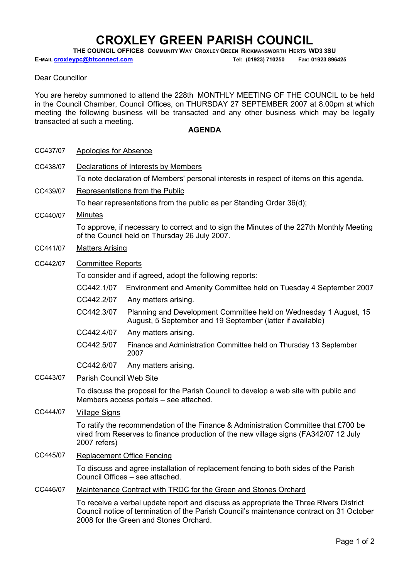## CROXLEY GREEN PARISH COUNCIL

THE COUNCIL OFFICES COMMUNITY WAY CROXLEY GREEN RICKMANSWORTH HERTS WD3 3SU

E-MAIL croxleypc@btconnect.com Tel: (01923) 710250 Fax: 01923 896425

## Dear Councillor

You are hereby summoned to attend the 228th MONTHLY MEETING OF THE COUNCIL to be held in the Council Chamber, Council Offices, on THURSDAY 27 SEPTEMBER 2007 at 8.00pm at which meeting the following business will be transacted and any other business which may be legally transacted at such a meeting.

## **AGENDA**

| CC437/07<br>Apologies for Absence |
|-----------------------------------|
|-----------------------------------|

CC438/07 Declarations of Interests by Members

To note declaration of Members' personal interests in respect of items on this agenda.

CC439/07 Representations from the Public

To hear representations from the public as per Standing Order 36(d);

CC440/07 Minutes

To approve, if necessary to correct and to sign the Minutes of the 227th Monthly Meeting of the Council held on Thursday 26 July 2007.

- CC441/07 Matters Arising
- CC442/07 Committee Reports

To consider and if agreed, adopt the following reports:

- CC442.1/07 Environment and Amenity Committee held on Tuesday 4 September 2007
- CC442.2/07 Any matters arising.
- CC442.3/07 Planning and Development Committee held on Wednesday 1 August, 15 August, 5 September and 19 September (latter if available)
- CC442.4/07 Any matters arising.
- CC442.5/07 Finance and Administration Committee held on Thursday 13 September 2007

CC442.6/07 Any matters arising.

CC443/07 Parish Council Web Site

To discuss the proposal for the Parish Council to develop a web site with public and Members access portals – see attached.

CC444/07 Village Signs

To ratify the recommendation of the Finance & Administration Committee that £700 be vired from Reserves to finance production of the new village signs (FA342/07 12 July 2007 refers)

- CC445/07 Replacement Office Fencing To discuss and agree installation of replacement fencing to both sides of the Parish Council Offices – see attached.
- CC446/07 Maintenance Contract with TRDC for the Green and Stones Orchard

To receive a verbal update report and discuss as appropriate the Three Rivers District Council notice of termination of the Parish Council's maintenance contract on 31 October 2008 for the Green and Stones Orchard.